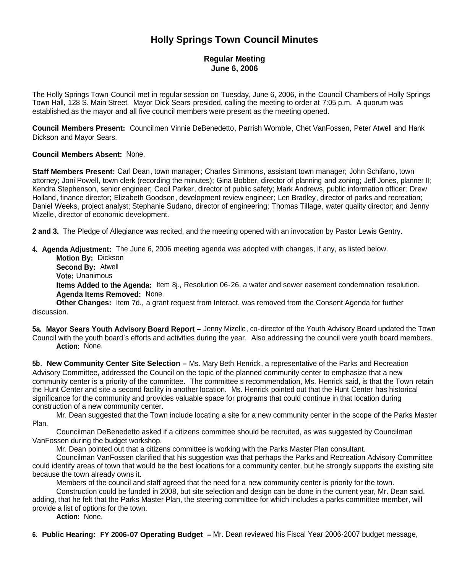# **Holly Springs Town Council Minutes**

### **Regular Meeting June 6, 2006**

The Holly Springs Town Council met in regular session on Tuesday, June 6, 2006, in the Council Chambers of Holly Springs Town Hall, 128 S. Main Street. Mayor Dick Sears presided, calling the meeting to order at 7:05 p.m. A quorum was established as the mayor and all five council members were present as the meeting opened.

**Council Members Present:** Councilmen Vinnie DeBenedetto, Parrish Womble, Chet VanFossen, Peter Atwell and Hank Dickson and Mayor Sears.

#### **Council Members Absent:** None.

**Staff Members Present:** Carl Dean, town manager; Charles Simmons, assistant town manager; John Schifano, town attorney; Joni Powell, town clerk (recording the minutes); Gina Bobber, director of planning and zoning; Jeff Jones, planner II; Kendra Stephenson, senior engineer; Cecil Parker, director of public safety; Mark Andrews, public information officer; Drew Holland, finance director; Elizabeth Goodson, development review engineer; Len Bradley, director of parks and recreation; Daniel Weeks, project analyst; Stephanie Sudano, director of engineering; Thomas Tillage, water quality director; and Jenny Mizelle, director of economic development.

**2 and 3.** The Pledge of Allegiance was recited, and the meeting opened with an invocation by Pastor Lewis Gentry.

**4. Agenda Adjustment:** The June 6, 2006 meeting agenda was adopted with changes, if any, as listed below.

**Motion By:** Dickson

**Second By:** Atwell

**Vote:** Unanimous

**Items Added to the Agenda:** Item 8j., Resolution 06-26, a water and sewer easement condemnation resolution. **Agenda Items Removed:** None.

**Other Changes:** Item 7d., a grant request from Interact, was removed from the Consent Agenda for further discussion.

**5a. Mayor Sears Youth Advisory Board Report –** Jenny Mizelle, co-director of the Youth Advisory Board updated the Town Council with the youth board's efforts and activities during the year. Also addressing the council were youth board members. **Action:** None.

**5b. New Community Center Site Selection –** Ms. Mary Beth Henrick, a representative of the Parks and Recreation Advisory Committee, addressed the Council on the topic of the planned community center to emphasize that a new community center is a priority of the committee. The committee's recommendation, Ms. Henrick said, is that the Town retain the Hunt Center and site a second facility in another location. Ms. Henrick pointed out that the Hunt Center has historical significance for the community and provides valuable space for programs that could continue in that location during construction of a new community center.

Mr. Dean suggested that the Town include locating a site for a new community center in the scope of the Parks Master Plan.

Councilman DeBenedetto asked if a citizens committee should be recruited, as was suggested by Councilman VanFossen during the budget workshop.

Mr. Dean pointed out that a citizens committee is working with the Parks Master Plan consultant.

Councilman VanFossen clarified that his suggestion was that perhaps the Parks and Recreation Advisory Committee could identify areas of town that would be the best locations for a community center, but he strongly supports the existing site because the town already owns it.

Members of the council and staff agreed that the need for a new community center is priority for the town.

Construction could be funded in 2008, but site selection and design can be done in the current year, Mr. Dean said, adding, that he felt that the Parks Master Plan, the steering committee for which includes a parks committee member, will provide a list of options for the town.

**Action:** None.

**6. Public Hearing: FY 2006-07 Operating Budget –** Mr. Dean reviewed his Fiscal Year 2006-2007 budget message,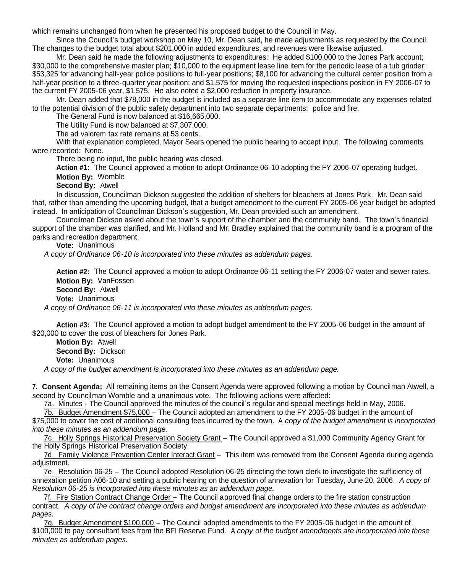which remains unchanged from when he presented his proposed budget to the Council in May.

Since the Council's budget workshop on May 10, Mr. Dean said, he made adjustments as requested by the Council. The changes to the budget total about \$201,000 in added expenditures, and revenues were likewise adjusted.

Mr. Dean said he made the following adjustments to expenditures: He added \$100,000 to the Jones Park account; \$30,000 to the comprehensive master plan; \$10,000 to the equipment lease line item for the periodic lease of a tub grinder; \$53,325 for advancing half-year police positions to full-year positions; \$8,100 for advancing the cultural center position from a half-year position to a three-quarter year position; and \$1,575 for moving the requested inspections position in FY 2006-07 to the current FY 2005-06 year, \$1,575. He also noted a \$2,000 reduction in property insurance.

Mr. Dean added that \$78,000 in the budget is included as a separate line item to accommodate any expenses related to the potential division of the public safety department into two separate departments: police and fire.

The General Fund is now balanced at \$16,665,000.

The Utility Fund is now balanced at \$7,307,000.

The ad valorem tax rate remains at 53 cents.

With that explanation completed, Mayor Sears opened the public hearing to accept input. The following comments were recorded: None.

There being no input, the public hearing was closed.

**Action #1:** The Council approved a motion to adopt Ordinance 06-10 adopting the FY 2006-07 operating budget. **Motion By:** Womble

**Second By:** Atwell

In discussion, Councilman Dickson suggested the addition of shelters for bleachers at Jones Park. Mr. Dean said that, rather than amending the upcoming budget, that a budget amendment to the current FY 2005-06 year budget be adopted instead. In anticipation of Councilman Dickson's suggestion, Mr. Dean provided such an amendment.

Councilman Dickson asked about the town's support of the chamber and the community band. The town's financial support of the chamber was clarified, and Mr. Holland and Mr. Bradley explained that the community band is a program of the parks and recreation department.

**Vote:** Unanimous

*A copy of Ordinance 06-10 is incorporated into these minutes as addendum pages.*

**Action #2:** The Council approved a motion to adopt Ordinance 06-11 setting the FY 2006-07 water and sewer rates. **Motion By:** VanFossen **Second By:** Atwell

**Vote:** Unanimous

*A copy of Ordinance 06-11 is incorporated into these minutes as addendum pages.*

**Action #3:** The Council approved a motion to adopt budget amendment to the FY 2005-06 budget in the amount of \$20,000 to cover the cost of bleachers for Jones Park.

**Motion By:** Atwell **Second By:** Dickson **Vote:** Unanimous

*A copy of the budget amendment is incorporated into these minutes as an addendum page.*

**7. Consent Agenda:** All remaining items on the Consent Agenda were approved following a motion by Councilman Atwell, a second by Councilman Womble and a unanimous vote. The following actions were affected:

7a. Minutes - The Council approved the minutes of the council's regular and special meetings held in May, 2006.

7b. Budget Amendment \$75,000 – The Council adopted an amendment to the FY 2005-06 budget in the amount of

\$75,000 to cover the cost of additional consulting fees incurred by the town. A *copy of the budget amendment is incorporated into these minutes as an addendum page.*

7c. Holly Springs Historical Preservation Society Grant – The Council approved a \$1,000 Community Agency Grant for the Holly Springs Historical Preservation Society.

7d. Family Violence Prevention Center Interact Grant – This item was removed from the Consent Agenda during agenda adjustment.

7e. Resolution 06-25 – The Council adopted Resolution 06-25 directing the town clerk to investigate the sufficiency of annexation petition A06-10 and setting a public hearing on the question of annexation for Tuesday, June 20, 2006. *A copy of Resolution 06-25 is incorporated into these minutes as an addendum page.*

7f. Fire Station Contract Change Order – The Council approved final change orders to the fire station construction contract. *A copy of the contract change orders and budget amendment are incorporated into these minutes as addendum pages.*

7g. Budget Amendment \$100,000 – The Council adopted amendments to the FY 2005-06 budget in the amount of \$100,000 to pay consultant fees from the BFI Reserve Fund. A *copy of the budget amendments are incorporated into these minutes as addendum pages.*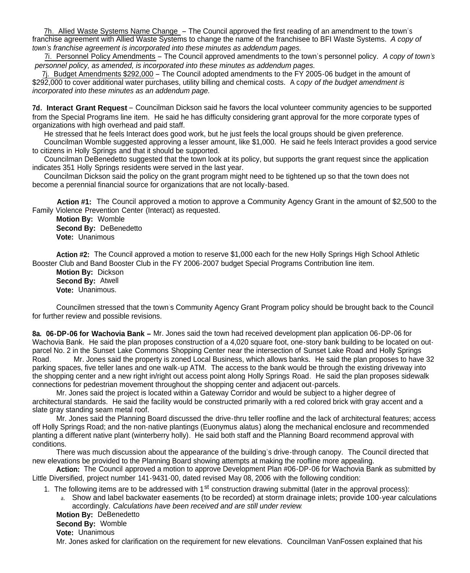7h. Allied Waste Systems Name Change – The Council approved the first reading of an amendment to the town's franchise agreement with Allied Waste Systems to change the name of the franchisee to BFI Waste Systems. *A copy of town's franchise agreement is incorporated into these minutes as addendum pages.*

7i. Personnel Policy Amendments – The Council approved amendments to the town's personnel policy. *A copy of town's personnel policy, as amended, is incorporated into these minutes as addendum pages.*

7j. Budget Amendments \$292,000 – The Council adopted amendments to the FY 2005-06 budget in the amount of \$292,000 to cover additional water purchases, utility billing and chemical costs. A c*opy of the budget amendment is incorporated into these minutes as an addendum page.*

**7d. Interact Grant Request** – Councilman Dickson said he favors the local volunteer community agencies to be supported from the Special Programs line item. He said he has difficulty considering grant approval for the more corporate types of organizations with high overhead and paid staff.

He stressed that he feels Interact does good work, but he just feels the local groups should be given preference.

Councilman Womble suggested approving a lesser amount, like \$1,000. He said he feels Interact provides a good service to citizens in Holly Springs and that it should be supported.

Councilman DeBenedetto suggested that the town look at its policy, but supports the grant request since the application indicates 351 Holly Springs residents were served in the last year.

Councilman Dickson said the policy on the grant program might need to be tightened up so that the town does not become a perennial financial source for organizations that are not locally-based.

**Action #1:** The Council approved a motion to approve a Community Agency Grant in the amount of \$2,500 to the Family Violence Prevention Center (Interact) as requested.

**Motion By:** Womble **Second By:** DeBenedetto **Vote:** Unanimous

**Action #2:** The Council approved a motion to reserve \$1,000 each for the new Holly Springs High School Athletic Booster Club and Band Booster Club in the FY 2006-2007 budget Special Programs Contribution line item.

**Motion By:** Dickson **Second By:** Atwell **Vote:** Unanimous.

Councilmen stressed that the town's Community Agency Grant Program policy should be brought back to the Council for further review and possible revisions.

**8a. 06-DP-06 for Wachovia Bank –** Mr. Jones said the town had received development plan application 06-DP-06 for Wachovia Bank. He said the plan proposes construction of a 4,020 square foot, one-story bank building to be located on outparcel No. 2 in the Sunset Lake Commons Shopping Center near the intersection of Sunset Lake Road and Holly Springs Road. Mr. Jones said the property is zoned Local Business, which allows banks. He said the plan proposes to have 32 parking spaces, five teller lanes and one walk-up ATM. The access to the bank would be through the existing driveway into the shopping center and a new right in/right out access point along Holly Springs Road. He said the plan proposes sidewalk connections for pedestrian movement throughout the shopping center and adjacent out-parcels.

Mr. Jones said the project is located within a Gateway Corridor and would be subject to a higher degree of architectural standards. He said the facility would be constructed primarily with a red colored brick with gray accent and a slate gray standing seam metal roof.

Mr. Jones said the Planning Board discussed the drive-thru teller roofline and the lack of architectural features; access off Holly Springs Road; and the non-native plantings (Euonymus alatus) along the mechanical enclosure and recommended planting a different native plant (winterberry holly). He said both staff and the Planning Board recommend approval with conditions.

There was much discussion about the appearance of the building's drive-through canopy. The Council directed that new elevations be provided to the Planning Board showing attempts at making the roofline more appealing.

**Action:** The Council approved a motion to approve Development Plan #06-DP-06 for Wachovia Bank as submitted by Little Diversified, project number 141-9431-00, dated revised May 08, 2006 with the following condition:

- 1. The following items are to be addressed with 1<sup>st</sup> construction drawing submittal (later in the approval process):
	- a. Show and label backwater easements (to be recorded) at storm drainage inlets; provide 100-year calculations accordingly. *Calculations have been received and are still under review*.

**Motion By:** DeBenedetto **Second By:** Womble **Vote:** Unanimous

Mr. Jones asked for clarification on the requirement for new elevations. Councilman VanFossen explained that his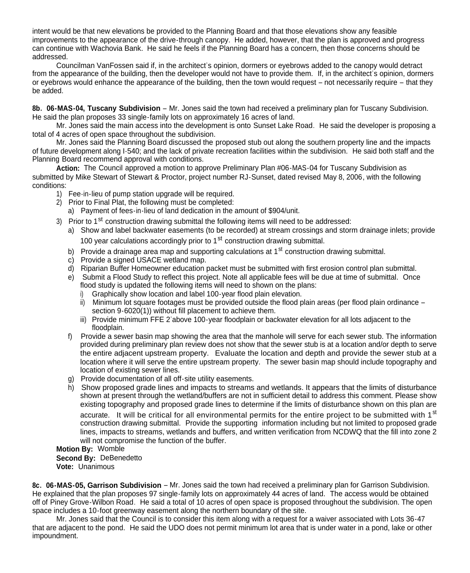intent would be that new elevations be provided to the Planning Board and that those elevations show any feasible improvements to the appearance of the drive-through canopy. He added, however, that the plan is approved and progress can continue with Wachovia Bank. He said he feels if the Planning Board has a concern, then those concerns should be addressed.

Councilman VanFossen said if, in the architect's opinion, dormers or eyebrows added to the canopy would detract from the appearance of the building, then the developer would not have to provide them. If, in the architect's opinion, dormers or eyebrows would enhance the appearance of the building, then the town would request – not necessarily require – that they be added.

**8b. 06-MAS-04, Tuscany Subdivision** – Mr. Jones said the town had received a preliminary plan for Tuscany Subdivision. He said the plan proposes 33 single-family lots on approximately 16 acres of land.

Mr. Jones said the main access into the development is onto Sunset Lake Road. He said the developer is proposing a total of 4 acres of open space throughout the subdivision.

Mr. Jones said the Planning Board discussed the proposed stub out along the southern property line and the impacts of future development along I-540; and the lack of private recreation facilities within the subdivision. He said both staff and the Planning Board recommend approval with conditions.

**Action:** The Council approved a motion to approve Preliminary Plan #06-MAS-04 for Tuscany Subdivision as submitted by Mike Stewart of Stewart & Proctor, project number RJ-Sunset, dated revised May 8, 2006, with the following conditions:

- 1) Fee-in-lieu of pump station upgrade will be required.
- 2) Prior to Final Plat, the following must be completed:
	- a) Payment of fees-in-lieu of land dedication in the amount of \$904/unit.
- 3) Prior to 1<sup>st</sup> construction drawing submittal the following items will need to be addressed:
	- a) Show and label backwater easements (to be recorded) at stream crossings and storm drainage inlets; provide 100 year calculations accordingly prior to 1<sup>st</sup> construction drawing submittal.
	- b) Provide a drainage area map and supporting calculations at  $1<sup>st</sup>$  construction drawing submittal.
	- c) Provide a signed USACE wetland map.
	- d) Riparian Buffer Homeowner education packet must be submitted with first erosion control plan submittal.
	- e) Submit a Flood Study to reflect this project. Note all applicable fees will be due at time of submittal. Once flood study is updated the following items will need to shown on the plans:
		- i) Graphically show location and label 100-year flood plain elevation.
		- ii) Minimum lot square footages must be provided outside the flood plain areas (per flood plain ordinance section 9-6020(1)) without fill placement to achieve them.
		- iii) Provide minimum FFE 2'above 100-year floodplain or backwater elevation for all lots adjacent to the floodplain.
	- f) Provide a sewer basin map showing the area that the manhole will serve for each sewer stub. The information provided during preliminary plan review does not show that the sewer stub is at a location and/or depth to serve the entire adjacent upstream property. Evaluate the location and depth and provide the sewer stub at a location where it will serve the entire upstream property. The sewer basin map should include topography and location of existing sewer lines.
	- g) Provide documentation of all off-site utility easements.
	- h) Show proposed grade lines and impacts to streams and wetlands. It appears that the limits of disturbance shown at present through the wetland/buffers are not in sufficient detail to address this comment. Please show existing topography and proposed grade lines to determine if the limits of disturbance shown on this plan are accurate. It will be critical for all environmental permits for the entire project to be submitted with 1<sup>st</sup> construction drawing submittal. Provide the supporting information including but not limited to proposed grade lines, impacts to streams, wetlands and buffers, and written verification from NCDWQ that the fill into zone 2 will not compromise the function of the buffer.

**Motion By:** Womble **Second By:** DeBenedetto

**Vote:** Unanimous

**8c. 06-MAS-05, Garrison Subdivision** – Mr. Jones said the town had received a preliminary plan for Garrison Subdivision. He explained that the plan proposes 97 single-family lots on approximately 44 acres of land. The access would be obtained off of Piney Grove-Wilbon Road. He said a total of 10 acres of open space is proposed throughout the subdivision. The open space includes a 10-foot greenway easement along the northern boundary of the site.

Mr. Jones said that the Council is to consider this item along with a request for a waiver associated with Lots 36-47 that are adjacent to the pond. He said the UDO does not permit minimum lot area that is under water in a pond, lake or other impoundment.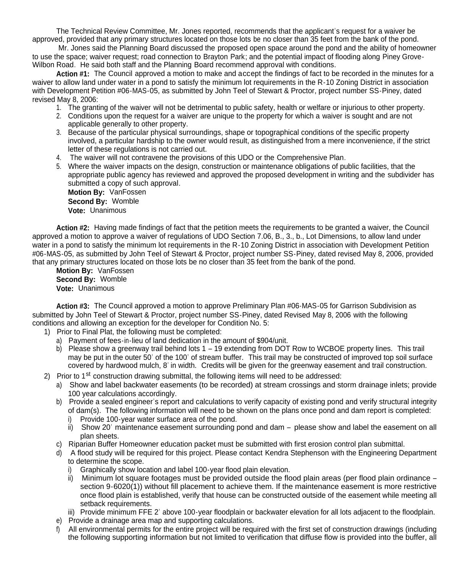The Technical Review Committee, Mr. Jones reported, recommends that the applicant's request for a waiver be approved, provided that any primary structures located on those lots be no closer than 35 feet from the bank of the pond.

Mr. Jones said the Planning Board discussed the proposed open space around the pond and the ability of homeowner to use the space; waiver request; road connection to Brayton Park; and the potential impact of flooding along Piney Grove-Wilbon Road. He said both staff and the Planning Board recommend approval with conditions.

**Action #1:** The Council approved a motion to make and accept the findings of fact to be recorded in the minutes for a waiver to allow land under water in a pond to satisfy the minimum lot requirements in the R-10 Zoning District in association with Development Petition #06-MAS-05, as submitted by John Teel of Stewart & Proctor, project number SS-Piney, dated revised May 8, 2006:

- 1. The granting of the waiver will not be detrimental to public safety, health or welfare or injurious to other property.
- 2. Conditions upon the request for a waiver are unique to the property for which a waiver is sought and are not applicable generally to other property.
- 3. Because of the particular physical surroundings, shape or topographical conditions of the specific property involved, a particular hardship to the owner would result, as distinguished from a mere inconvenience, if the strict letter of these regulations is not carried out.
- 4. The waiver will not contravene the provisions of this UDO or the Comprehensive Plan.
- 5. Where the waiver impacts on the design, construction or maintenance obligations of public facilities, that the appropriate public agency has reviewed and approved the proposed development in writing and the subdivider has submitted a copy of such approval.

**Motion By:** VanFossen **Second By:** Womble **Vote:** Unanimous

**Action #2:** Having made findings of fact that the petition meets the requirements to be granted a waiver, the Council approved a motion to approve a waiver of regulations of UDO Section 7.06, B., 3., b., Lot Dimensions, to allow land under water in a pond to satisfy the minimum lot requirements in the R-10 Zoning District in association with Development Petition #06-MAS-05, as submitted by John Teel of Stewart & Proctor, project number SS-Piney, dated revised May 8, 2006, provided that any primary structures located on those lots be no closer than 35 feet from the bank of the pond.

**Motion By:** VanFossen **Second By:** Womble **Vote:** Unanimous

**Action #3:** The Council approved a motion to approve Preliminary Plan #06-MAS-05 for Garrison Subdivision as submitted by John Teel of Stewart & Proctor, project number SS-Piney, dated Revised May 8, 2006 with the following conditions and allowing an exception for the developer for Condition No. 5:

- 1) Prior to Final Plat, the following must be completed:
	- a) Payment of fees-in-lieu of land dedication in the amount of \$904/unit.
	- b) Please show a greenway trail behind lots 1 19 extending from DOT Row to WCBOE property lines. This trail may be put in the outer 50' of the 100' of stream buffer. This trail may be constructed of improved top soil surface covered by hardwood mulch, 8' in width. Credits will be given for the greenway easement and trail construction.
- 2) Prior to  $1<sup>st</sup>$  construction drawing submittal, the following items will need to be addressed:
	- a) Show and label backwater easements (to be recorded) at stream crossings and storm drainage inlets; provide 100 year calculations accordingly.
	- b) Provide a sealed engineer's report and calculations to verify capacity of existing pond and verify structural integrity of dam(s). The following information will need to be shown on the plans once pond and dam report is completed:
		- Provide 100-year water surface area of the pond.
		- ii) Show 20' maintenance easement surrounding pond and dam please show and label the easement on all plan sheets.
	- c) Riparian Buffer Homeowner education packet must be submitted with first erosion control plan submittal.
	- d) A flood study will be required for this project. Please contact Kendra Stephenson with the Engineering Department to determine the scope.
		- i) Graphically show location and label 100-year flood plain elevation.
		- ii) Minimum lot square footages must be provided outside the flood plain areas (per flood plain ordinance section 9-6020(1)) without fill placement to achieve them. If the maintenance easement is more restrictive once flood plain is established, verify that house can be constructed outside of the easement while meeting all setback requirements.
		- iii) Provide minimum FFE 2' above 100-year floodplain or backwater elevation for all lots adjacent to the floodplain.
	- e) Provide a drainage area map and supporting calculations.
	- All environmental permits for the entire project will be required with the first set of construction drawings (including the following supporting information but not limited to verification that diffuse flow is provided into the buffer, all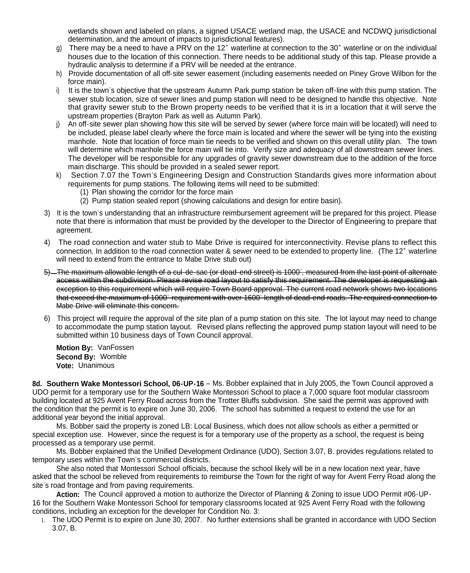wetlands shown and labeled on plans, a signed USACE wetland map, the USACE and NCDWQ jurisdictional determination, and the amount of impacts to jurisdictional features).

- g) There may be a need to have a PRV on the 12" waterline at connection to the 30" waterline or on the individual houses due to the location of this connection. There needs to be additional study of this tap. Please provide a hydraulic analysis to determine if a PRV will be needed at the entrance.
- h) Provide documentation of all off-site sewer easement (including easements needed on Piney Grove Wilbon for the force main).
- i) It is the town's objective that the upstream Autumn Park pump station be taken off-line with this pump station. The sewer stub location, size of sewer lines and pump station will need to be designed to handle this objective. Note that gravity sewer stub to the Brown property needs to be verified that it is in a location that it will serve the upstream properties (Brayton Park as well as Autumn Park).
- j) An off-site sewer plan showing how this site will be served by sewer (where force main will be located) will need to be included, please label clearly where the force main is located and where the sewer will be tying into the existing manhole. Note that location of force main tie needs to be verified and shown on this overall utility plan. The town will determine which manhole the force main will tie into. Verify size and adequacy of all downstream sewer lines. The developer will be responsible for any upgrades of gravity sewer downstream due to the addition of the force main discharge. This should be provided in a sealed sewer report.
- k) Section 7.07 the Town's Engineering Design and Construction Standards gives more information about requirements for pump stations. The following items will need to be submitted:
	- (1) Plan showing the corridor for the force main
	- (2) Pump station sealed report (showing calculations and design for entire basin).
- 3) It is the town's understanding that an infrastructure reimbursement agreement will be prepared for this project. Please note that there is information that must be provided by the developer to the Director of Engineering to prepare that agreement.
- 4) The road connection and water stub to Mabe Drive is required for interconnectivity. Revise plans to reflect this connection. In addition to the road connection water & sewer need to be extended to property line. (The 12" waterline will need to extend from the entrance to Mabe Drive stub out)
- 5) The maximum allowable length of a cul-de-sac (or dead-end street) is 1000', measured from the last point of alternate access within the subdivision. Please revise road layout to satisfy this requirement. The developer is requesting an exception to this requirement which will require Town Board approval. The current road network shows two locations that exceed the maximum of 1000' requirement with over 1600' length of dead-end roads. The required connection to Mabe Drive will eliminate this concern.
- 6) This project will require the approval of the site plan of a pump station on this site. The lot layout may need to change to accommodate the pump station layout. Revised plans reflecting the approved pump station layout will need to be submitted within 10 business days of Town Council approval.

**Motion By:** VanFossen **Second By:** Womble **Vote:** Unanimous

**8d. Southern Wake Montessori School, 06-UP-16** – Ms. Bobber explained that in July 2005, the Town Council approved a UDO permit for a temporary use for the Southern Wake Montessori School to place a 7,000 square foot modular classroom building located at 925 Avent Ferry Road across from the Trotter Bluffs subdivision. She said the permit was approved with the condition that the permit is to expire on June 30, 2006. The school has submitted a request to extend the use for an additional year beyond the initial approval.

Ms. Bobber said the property is zoned LB: Local Business, which does not allow schools as either a permitted or special exception use. However, since the request is for a temporary use of the property as a school, the request is being processed as a temporary use permit.

Ms. Bobber explained that the Unified Development Ordinance (UDO), Section 3.07, B. provides regulations related to temporary uses within the Town's commercial districts.

She also noted that Montessori School officials, because the school likely will be in a new location next year, have asked that the school be relieved from requirements to reimburse the Town for the right of way for Avent Ferry Road along the site's road frontage and from paving requirements.

**Action:** The Council approved a motion to authorize the Director of Planning & Zoning to issue UDO Permit #06-UP-16 for the Southern Wake Montessori School for temporary classrooms located at 925 Avent Ferry Road with the following conditions, including an exception for the developer for Condition No. 3:

1. The UDO Permit is to expire on June 30, 2007. No further extensions shall be granted in accordance with UDO Section 3.07, B.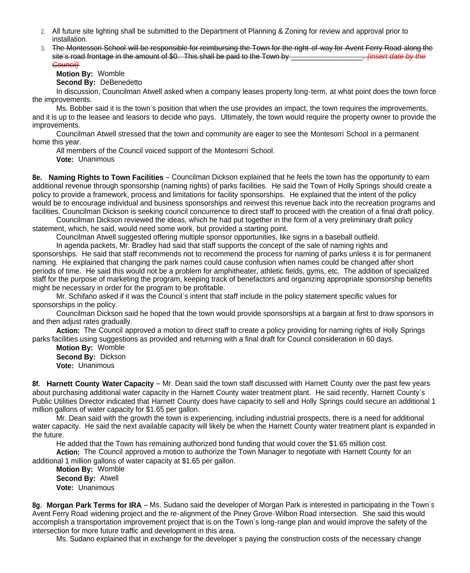- 2. All future site lighting shall be submitted to the Department of Planning & Zoning for review and approval prior to installation.
- 3. The Montessori School will be responsible for reimbursing the Town for the right-of-way for Avent Ferry Road along the site's road frontage in the amount of \$0. This shall be paid to the Town by **Exerce 20. The** *s* finsert date by the *Council}*

**Motion By:** Womble

**Second By:** DeBenedetto

In discussion, Councilman Atwell asked when a company leases property long-term, at what point does the town force the improvements.

Ms. Bobber said it is the town's position that when the use provides an impact, the town requires the improvements, and it is up to the leasee and leasors to decide who pays. Ultimately, the town would require the property owner to provide the improvements.

Councilman Atwell stressed that the town and community are eager to see the Montesorri School in a permanent home this year.

All members of the Council voiced support of the Montesorri School. **Vote:** Unanimous

**8e. Naming Rights to Town Facilities** – Councilman Dickson explained that he feels the town has the opportunity to earn additional revenue through sponsorship (naming rights) of parks facilities. He said the Town of Holly Springs should create a policy to provide a framework, process and limitations for facility sponsorships. He explained that the intent of the policy would be to encourage individual and business sponsorships and reinvest this revenue back into the recreation programs and facilities. Councilman Dickson is seeking council concurrence to direct staff to proceed with the creation of a final draft policy.

Councilman Dickson reviewed the ideas, which he had put together in the form of a very preliminary draft policy statement, which, he said, would need some work, but provided a starting point.

Councilman Atwell suggested offering multiple sponsor opportunities, like signs in a baseball outfield.

In agenda packets, Mr. Bradley had said that staff supports the concept of the sale of naming rights and sponsorships. He said that staff recommends not to recommend the process for naming of parks unless it is for permanent naming. He explained that changing the park names could cause confusion when names could be changed after short periods of time. He said this would not be a problem for amphitheater, athletic fields, gyms, etc. The addition of specialized staff for the purpose of marketing the program, keeping track of benefactors and organizing appropriate sponsorship benefits might be necessary in order for the program to be profitable.

Mr. Schifano asked if it was the Council's intent that staff include in the policy statement specific values for sponsorships in the policy.

Councilman Dickson said he hoped that the town would provide sponsorships at a bargain at first to draw sponsors in and then adiust rates gradually.

**Action:** The Council approved a motion to direct staff to create a policy providing for naming rights of Holly Springs parks facilities using suggestions as provided and returning with a final draft for Council consideration in 60 days.

**Motion By:** Womble **Second By:** Dickson **Vote:** Unanimous

**8f. Harnett County Water Capacity** – Mr. Dean said the town staff discussed with Harnett County over the past few years about purchasing additional water capacity in the Harnett County water treatment plant. He said recently, Harnett County's Public Utilities Director indicated that Harnett County does have capacity to sell and Holly Springs could secure an additional 1 million gallons of water capacity for \$1.65 per gallon.

Mr. Dean said with the growth the town is experiencing, including industrial prospects, there is a need for additional water capacity. He said the next available capacity will likely be when the Harnett County water treatment plant is expanded in the future.

He added that the Town has remaining authorized bond funding that would cover the \$1.65 million cost.

Action: The Council approved a motion to authorize the Town Manager to negotiate with Harnett County for an additional 1 million gallons of water capacity at \$1.65 per gallon.

**Motion By:** Womble **Second By:** Atwell **Vote:** Unanimous

**8g. Morgan Park Terms for IRA** – Ms. Sudano said the developer of Morgan Park is interested in participating in the Town's Avent Ferry Road widening project and the re-alignment of the Piney Grove-Wilbon Road intersection. She said this would accomplish a transportation improvement project that is on the Town's long-range plan and would improve the safety of the intersection for more future traffic and development in this area.

Ms. Sudano explained that in exchange for the developer's paying the construction costs of the necessary change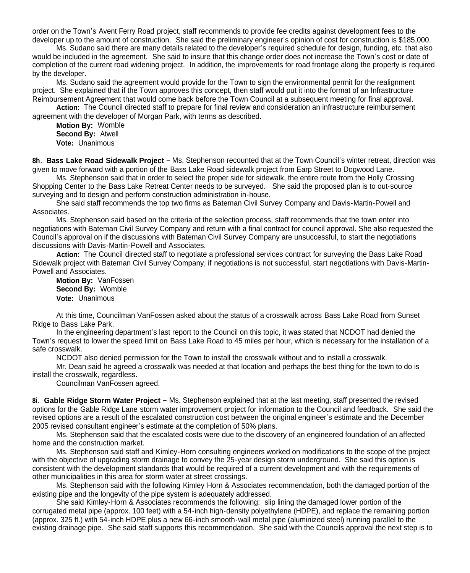order on the Town's Avent Ferry Road project, staff recommends to provide fee credits against development fees to the developer up to the amount of construction. She said the preliminary engineer's opinion of cost for construction is \$185,000.

Ms. Sudano said there are many details related to the developer's required schedule for design, funding, etc. that also would be included in the agreement. She said to insure that this change order does not increase the Town's cost or date of completion of the current road widening project. In addition, the improvements for road frontage along the property is required by the developer.

Ms. Sudano said the agreement would provide for the Town to sign the environmental permit for the realignment project. She explained that if the Town approves this concept, then staff would put it into the format of an Infrastructure Reimbursement Agreement that would come back before the Town Council at a subsequent meeting for final approval.

**Action:** The Council directed staff to prepare for final review and consideration an infrastructure reimbursement agreement with the developer of Morgan Park, with terms as described.

**Motion By:** Womble **Second By:** Atwell **Vote:** Unanimous

**8h. Bass Lake Road Sidewalk Project** – Ms. Stephenson recounted that at the Town Council's winter retreat, direction was given to move forward with a portion of the Bass Lake Road sidewalk project from Earp Street to Dogwood Lane.

Ms. Stephenson said that in order to select the proper side for sidewalk, the entire route from the Holly Crossing Shopping Center to the Bass Lake Retreat Center needs to be surveyed. She said the proposed plan is to out-source surveying and to design and perform construction administration in-house.

She said staff recommends the top two firms as Bateman Civil Survey Company and Davis-Martin-Powell and Associates.

Ms. Stephenson said based on the criteria of the selection process, staff recommends that the town enter into negotiations with Bateman Civil Survey Company and return with a final contract for council approval. She also requested the Council's approval on if the discussions with Bateman Civil Survey Company are unsuccessful, to start the negotiations discussions with Davis-Martin-Powell and Associates.

**Action:** The Council directed staff to negotiate a professional services contract for surveying the Bass Lake Road Sidewalk project with Bateman Civil Survey Company, if negotiations is not successful, start negotiations with Davis-Martin-Powell and Associates.

**Motion By:** VanFossen **Second By:** Womble **Vote:** Unanimous

At this time, Councilman VanFossen asked about the status of a crosswalk across Bass Lake Road from Sunset Ridge to Bass Lake Park.

In the engineering department's last report to the Council on this topic, it was stated that NCDOT had denied the Town's request to lower the speed limit on Bass Lake Road to 45 miles per hour, which is necessary for the installation of a safe crosswalk.

NCDOT also denied permission for the Town to install the crosswalk without and to install a crosswalk.

Mr. Dean said he agreed a crosswalk was needed at that location and perhaps the best thing for the town to do is install the crosswalk, regardless.

Councilman VanFossen agreed.

**8i. Gable Ridge Storm Water Project** – Ms. Stephenson explained that at the last meeting, staff presented the revised options for the Gable Ridge Lane storm water improvement project for information to the Council and feedback. She said the revised options are a result of the escalated construction cost between the original engineer's estimate and the December 2005 revised consultant engineer's estimate at the completion of 50% plans.

Ms. Stephenson said that the escalated costs were due to the discovery of an engineered foundation of an affected home and the construction market.

Ms. Stephenson said staff and Kimley-Horn consulting engineers worked on modifications to the scope of the project with the objective of upgrading storm drainage to convey the 25-year design storm underground. She said this option is consistent with the development standards that would be required of a current development and with the requirements of other municipalities in this area for storm water at street crossings.

Ms. Stephenson said with the following Kimley Horn & Associates recommendation, both the damaged portion of the existing pipe and the longevity of the pipe system is adequately addressed.

She said Kimley-Horn & Associates recommends the following: slip lining the damaged lower portion of the corrugated metal pipe (approx. 100 feet) with a 54-inch high-density polyethylene (HDPE), and replace the remaining portion (approx. 325 ft.) with 54-inch HDPE plus a new 66-inch smooth-wall metal pipe (aluminized steel) running parallel to the existing drainage pipe. She said staff supports this recommendation. She said with the Councils approval the next step is to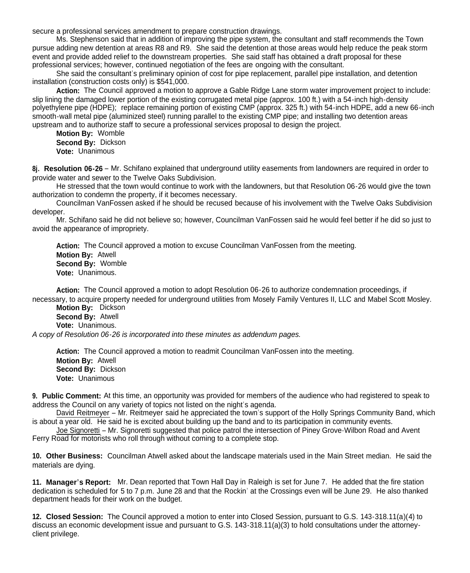secure a professional services amendment to prepare construction drawings.

Ms. Stephenson said that in addition of improving the pipe system, the consultant and staff recommends the Town pursue adding new detention at areas R8 and R9. She said the detention at those areas would help reduce the peak storm event and provide added relief to the downstream properties. She said staff has obtained a draft proposal for these professional services; however, continued negotiation of the fees are ongoing with the consultant.

She said the consultant's preliminary opinion of cost for pipe replacement, parallel pipe installation, and detention installation (construction costs only) is \$541,000.

**Action:** The Council approved a motion to approve a Gable Ridge Lane storm water improvement project to include: slip lining the damaged lower portion of the existing corrugated metal pipe (approx. 100 ft.) with a 54-inch high-density polyethylene pipe (HDPE); replace remaining portion of existing CMP (approx. 325 ft.) with 54-inch HDPE, add a new 66-inch smooth-wall metal pipe (aluminized steel) running parallel to the existing CMP pipe; and installing two detention areas upstream and to authorize staff to secure a professional services proposal to design the project.

**Motion By:** Womble **Second By:** Dickson **Vote:** Unanimous

**8j. Resolution 06-26** – Mr. Schifano explained that underground utility easements from landowners are required in order to provide water and sewer to the Twelve Oaks Subdivision.

He stressed that the town would continue to work with the landowners, but that Resolution 06-26 would give the town authorization to condemn the property, if it becomes necessary.

Councilman VanFossen asked if he should be recused because of his involvement with the Twelve Oaks Subdivision developer.

Mr. Schifano said he did not believe so; however, Councilman VanFossen said he would feel better if he did so just to avoid the appearance of impropriety.

**Action:** The Council approved a motion to excuse Councilman VanFossen from the meeting. **Motion By:** Atwell **Second By:** Womble **Vote:** Unanimous.

**Action:** The Council approved a motion to adopt Resolution 06-26 to authorize condemnation proceedings, if necessary, to acquire property needed for underground utilities from Mosely Family Ventures II, LLC and Mabel Scott Mosley.

**Motion By:** Dickson **Second By:** Atwell **Vote:** Unanimous.

*A copy of Resolution 06-26 is incorporated into these minutes as addendum pages.*

**Action:** The Council approved a motion to readmit Councilman VanFossen into the meeting. **Motion By:** Atwell **Second By:** Dickson **Vote:** Unanimous

**9. Public Comment:** At this time, an opportunity was provided for members of the audience who had registered to speak to address the Council on any variety of topics not listed on the night's agenda.

David Reitmeyer – Mr. Reitmeyer said he appreciated the town's support of the Holly Springs Community Band, which is about a year old. He said he is excited about building up the band and to its participation in community events.

Joe Signoretti – Mr. Signoretti suggested that police patrol the intersection of Piney Grove-Wilbon Road and Avent Ferry Road for motorists who roll through without coming to a complete stop.

**10. Other Business:** Councilman Atwell asked about the landscape materials used in the Main Street median. He said the materials are dying.

**11. Manager's Report:** Mr. Dean reported that Town Hall Day in Raleigh is set for June 7. He added that the fire station dedication is scheduled for 5 to 7 p.m. June 28 and that the Rockin' at the Crossings even will be June 29. He also thanked department heads for their work on the budget.

**12. Closed Session:** The Council approved a motion to enter into Closed Session, pursuant to G.S. 143-318.11(a)(4) to discuss an economic development issue and pursuant to G.S. 143-318.11(a)(3) to hold consultations under the attorneyclient privilege.